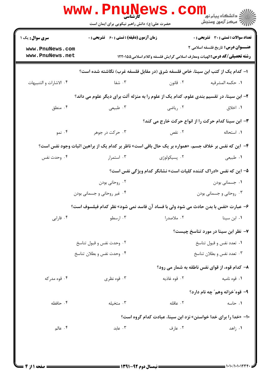|                                                                                                      | <b>www.Pnunews</b><br>حضرت علی(ع): دانش راهبر نیکویی برای ایمان است                      |                                                                                  | الله دانشگاه پیام نور COM<br>الله عرکز آزمون وسنجش |  |
|------------------------------------------------------------------------------------------------------|------------------------------------------------------------------------------------------|----------------------------------------------------------------------------------|----------------------------------------------------|--|
| <b>سری سوال :</b> یک ۱                                                                               | <b>زمان آزمون (دقیقه) : تستی : 60 ٪ تشریحی : 0</b>                                       |                                                                                  | تعداد سوالات : تستى : 30 - تشريحي : 0              |  |
| www.PnuNews.com<br>www.PnuNews.net                                                                   |                                                                                          | <b>رشته تحصیلی/کد درس: ا</b> لهیات ومعارف اسلامی گرایش فلسفه وکلام اسلامی1۲۲۰۱۵۵ | <b>عنـــوان درس:</b> تاریخ فلسفه اسلامی ۲          |  |
| ا– کدام یک از کتب ابن سینا، خاص فلسفه شرق (در مقابل فلسفه غرب) نگاشته شده است؟                       |                                                                                          |                                                                                  |                                                    |  |
| ۰۴ الاشارات و التنبيهات                                                                              | ۰۳ شفا                                                                                   | ۰۲ قانون                                                                         | ٠١ حكمه المشرقيه                                   |  |
|                                                                                                      | ۲– ابن سینا، در تقسیم بندی علوم، کدام یک از علوم را به منزله آلت برای دیگر علوم می داند؟ |                                                                                  |                                                    |  |
| ۰۴ منطق                                                                                              | ۰۳ طبیعی                                                                                 | ۰۲ ریاضی                                                                         | ۰۱ اخلاق                                           |  |
|                                                                                                      |                                                                                          | ۳- ابن سینا کدام حرکت را از انواع حرکت خارج می کند؟                              |                                                    |  |
| ۰۴ نمو                                                                                               | ۰۳ حرکت در جوهر                                                                          | ۰۲ نقص                                                                           | ٠١. استحاله                                        |  |
| ۴- این که نفس بر خلاف جسم، «همواره بر یک حال باقی است» ناظر بر کدام یک از براهین اثبات وجود نفس است؟ |                                                                                          |                                                                                  |                                                    |  |
| ۰۴ وحدت نفس                                                                                          | ۰۳ استمرار                                                                               | ۰۲ پسیکولوژی                                                                     | ١. طبيعي                                           |  |
|                                                                                                      |                                                                                          | ۵– این که نفس «ادراک کننده کلیات است» نشانگر کدام ویژگی نفس است؟                 |                                                    |  |
|                                                                                                      | ۰۲ روحانی بودن                                                                           |                                                                                  | ۰۱ جسمانی بودن                                     |  |
|                                                                                                      | ۰۴ غیر روحانی و جسمانی بودن                                                              |                                                                                  | ۰۳ روحانی و جسمانی بودن                            |  |
|                                                                                                      | ۶– عبارت «نفس با بدن حادث می شود ولی با فساد آن فاسد نمی شود» نظر کدام فیلسوف است؟       |                                                                                  |                                                    |  |
| ۰۴ فارابی                                                                                            | ۰۳ ارسطو                                                                                 | ۰۲ ملاصدرا                                                                       | ۰۱ ابن سینا                                        |  |
|                                                                                                      |                                                                                          |                                                                                  | ۷- نظر ابن سینا در مورد تناسخ چیست؟                |  |
|                                                                                                      | ۰۲ وحدت نفس و قبول تناسخ                                                                 |                                                                                  | ۰۱ تعدد نفس و قبول تناسخ                           |  |
|                                                                                                      | ۰۴ وحدت نفس و بطلان تناسخ                                                                |                                                                                  | ۰۳ تعدد نفس و بطلان تناسخ                          |  |
|                                                                                                      |                                                                                          |                                                                                  | ۸– کدام قوه، از قوای نفس ناطقه به شمار می رود؟     |  |
| ۰۴ قوه مدركه                                                                                         | ۰۳ قوه نظری                                                                              | ۰۲ قوه غاذیه                                                                     | ۰۱ قوه نامیه                                       |  |
|                                                                                                      |                                                                                          |                                                                                  | ۹- قوه″خزانه وهم″ چه نام دارد؟                     |  |
| ۰۴ حافظه                                                                                             | ۰۳ متخیله                                                                                | ٢. عاقله                                                                         | ۰۱ حاسه                                            |  |
|                                                                                                      |                                                                                          | ۱۰– «خدا را برای خدا خواستن» نزد ابن سینا، عبادت کدام گروه است؟                  |                                                    |  |
| ۰۴ عالم                                                                                              | ا عابد $\cdot$ ۳                                                                         | ۰۲ عارف                                                                          | ۰۱ زاهد                                            |  |
|                                                                                                      |                                                                                          |                                                                                  |                                                    |  |
|                                                                                                      |                                                                                          |                                                                                  |                                                    |  |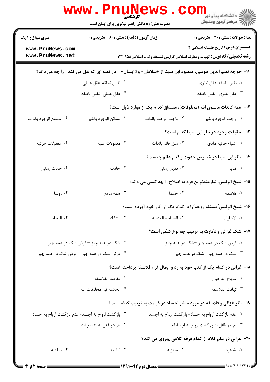|                                    | <b>www.PnuNews</b><br>کارشناسی                      |                                                  |                                                                                                                               |
|------------------------------------|-----------------------------------------------------|--------------------------------------------------|-------------------------------------------------------------------------------------------------------------------------------|
|                                    | حضرت علی(ع): دانش راهبر نیکویی برای ایمان است       |                                                  |                                                                                                                               |
| <b>سری سوال : ۱ یک</b>             | <b>زمان آزمون (دقیقه) : تستی : 60 ٪ تشریحی : 0</b>  |                                                  | <b>تعداد سوالات : تستی : 30 ٪ تشریحی : 0</b>                                                                                  |
| www.PnuNews.com<br>www.PnuNews.net |                                                     |                                                  | <b>عنـــوان درس:</b> تاریخ فلسفه اسلامی ۲<br><b>رشته تحصیلی/کد درس: ا</b> لهیات ومعارف اسلامی گرایش فلسفه وکلام اسلامی1۲۲۰۱۵۵ |
|                                    |                                                     |                                                  | 11- خواجه نصیرالدین طوسی، مقصود ابن سینا از «سلامان» و« ابسال» - در قصه ای که نقل می کند- را چه می داند؟                      |
|                                    | ۰۲ نفس ناطقه-عقل عملی                               |                                                  | ٠١ نفس ناطقه-عقل نظري                                                                                                         |
|                                    | ۰۴ عقل عملی- نفس ناطقه                              |                                                  | ۰۳ عقل نظری- نفس ناطقه                                                                                                        |
|                                    |                                                     |                                                  | ۱۲– همه کائنات ماسوی الله (مخلوقات)، مصداق کدام یک از موارد ذیل است؟                                                          |
| ۰۴ ممتنع الوجود بالذات             | ۰۳ ممكن الوجود بالغير                               | ٢. واجب الوجود بالذات                            | ٠١. واجب الوجود بالغير                                                                                                        |
|                                    |                                                     |                                                  | <b>۱۳</b> حقیقت وجود در نظر ابن سینا کدام است؟                                                                                |
| ۰۴ معقولات جزئيه                   | ۰۳ معقولات كليه                                     | ٢. مُثَل قائم بالذات                             | ٠١ اشياء جزئيه مادى                                                                                                           |
|                                    |                                                     |                                                  | ۱۴– نظر ابن سینا در خصوص حدوث و قدم عالم چیست؟                                                                                |
| ۰۴ حادث زمانی                      | ۰۳ حادث                                             | ۰۲ قدیم زمانی                                    | <b>۱</b> . قديم                                                                                                               |
|                                    |                                                     |                                                  | 1۵- شیخ الرئیس، نیازمندترین فرد به اصلاح را چه کسی می داند؟                                                                   |
| ۰۴ رؤسا                            | ۰۳ همه مردم                                         | ۰۲ حکما                                          | ٠١ فلاسفه                                                                                                                     |
|                                    |                                                     |                                                  | ۱۶- شیخ الرئیس ؒمسئله زوجه ؒرا درکدام یک از آثار خود آورده است؟                                                               |
| ۰۴ النجاه                          | ٠٣ الشفاء                                           | ٢. السياسه المدنيه                               | <b>۱.</b> الاشارات                                                                                                            |
|                                    |                                                     |                                                  | ۱۷- شک غزالی و دکارت به ترتیب چه نوع شکی است؟                                                                                 |
|                                    | ۰۲ شک در همه چیز – فرض شک در همه چیز                |                                                  | ۰۱ فرض شک در همه چیز <sup>س</sup> شک در همه چیز                                                                               |
|                                    | ۰۴ فرض شک در همه چیز <sup>—</sup> فرض شک در همه چیز |                                                  | ۰۳ شک در همه چیز <sup>س</sup> شک در همه چیز                                                                                   |
|                                    |                                                     |                                                  | ۱۸- غزالی در کدام یک از کتب خود به رد و ابطال آراء فلاسفه پرداخته است؟                                                        |
|                                    | ٠٢ مقاصد الفلاسفه                                   |                                                  | ٠١ منهاج العارفين                                                                                                             |
|                                    | ۰۴ الحكمه في مخلوقات الله                           |                                                  | ٠٣ تهافت الفلاسفه                                                                                                             |
|                                    |                                                     |                                                  | ۱۹- نظر غزالی و فلاسفه در مورد حشر اجساد در قیامت به ترتیب کدام است؟                                                          |
|                                    | ۰۲ بازگشت ارواح به اجساد- عدم بازگشت ارواح به اجساد |                                                  | ٠١ عدم بازگشت ارواح به اجساد- بازگشت ارواح به اجساد                                                                           |
|                                    | ۰۴ هر دو قائل به تناسخ اند.                         |                                                  | ۰۳ هر دو قائل به بازگشت ارواح به اجساداند.                                                                                    |
|                                    |                                                     |                                                  | ۲۰- غزالی در علم کلام از کدام فرقه کلامی پیروی می کند؟                                                                        |
| ۰۴ باطنيه                          | ۰۳ امامیه                                           | ۰۲ معتزله                                        | ۰۱ اشاعره                                                                                                                     |
| <b>= صفحه 2 از 4 =</b>             |                                                     | ــــــــــــــــــ نیمسال دوم ۹۲-۱۳۹۱ ــــــــــ |                                                                                                                               |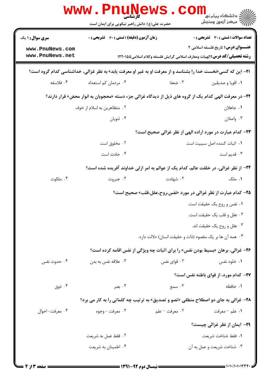|                                                                                                               | <b>www . Pn</b><br>ا <b>الحليلاً الم</b> ا<br>حضرت علی(ع): دانش راهبر نیکویی برای ایمان است |                                                                                  | ≦ دانشگاه پیام نو <mark>ر</mark><br>رآ - مرڪز آزمون وسنڊش |  |
|---------------------------------------------------------------------------------------------------------------|---------------------------------------------------------------------------------------------|----------------------------------------------------------------------------------|-----------------------------------------------------------|--|
| <b>سری سوال : ۱ یک</b>                                                                                        | <b>زمان آزمون (دقیقه) : تستی : 60 ٪ تشریحی : 0</b>                                          |                                                                                  | تعداد سوالات : تستى : 30 قشريحى : 0                       |  |
| www.PnuNews.com                                                                                               |                                                                                             |                                                                                  | <b>عنـــوان درس:</b> تاریخ فلسفه اسلامی ۲                 |  |
| www.PnuNews.net                                                                                               |                                                                                             | <b>رشته تحصیلی/کد درس: ا</b> لهیات ومعارف اسلامی گرایش فلسفه وکلام اسلامی1۲۲۰۱۵۵ |                                                           |  |
| 21- این که کسی«نخست خدا را بشناسد و از معرفت او به غیر او معرفت یابد» به نظر غزالی، خداشناسی کدام گروه است؟   |                                                                                             |                                                                                  |                                                           |  |
| ۰۴ فلاسفه                                                                                                     | ۰۳ مردمان کم استعداد                                                                        | ۰۲ ضعفا                                                                          | ٠١. اقويا و صديقين                                        |  |
| <b>۲۲</b> – در معرفت الهی کدام یک از گروه های ذیل از دیدگاه غزالی جزء دسته «محجوبان به انوار محض» قرار دارند؟ |                                                                                             |                                                                                  |                                                           |  |
|                                                                                                               | ۰۲ متظاهرین به اسلام از خوف                                                                 |                                                                                  | ۰۱ جاهلان                                                 |  |
|                                                                                                               | ۰۴ ثنويان                                                                                   |                                                                                  | ۰۳ واصلان                                                 |  |
|                                                                                                               |                                                                                             | <b>33- کدام عبارت در مورد اراده الهی از نظر غزالی صحیح است؟</b>                  |                                                           |  |
|                                                                                                               | ۰۲ مخلوق است                                                                                |                                                                                  | ٠١. اثبات كننده اصل سببيت است                             |  |
|                                                                                                               | ۰۴ حادث است                                                                                 |                                                                                  | ۰۳ قدیم است                                               |  |
|                                                                                                               | ۲۴- از نظر غزالی، در خلقت عالم، کدام یک از عوالم به امر ازلی خداوند آفریده شده است؟         |                                                                                  |                                                           |  |
| ۰۴ ملکوت                                                                                                      | ۰۳ جبروت                                                                                    | ۰۲ شهادت                                                                         | ۰۱ ملک                                                    |  |
|                                                                                                               |                                                                                             | <b>۲۵</b> - کدام عبارت از نظر غزالی در مورد «نفس،روح،عقل،قلب» صحیح است؟          |                                                           |  |
|                                                                                                               |                                                                                             |                                                                                  | ۰۱ نفس و روح یک حقیقت است.                                |  |
|                                                                                                               |                                                                                             |                                                                                  | ۰۲ عقل و قلب یک حقیقت است.                                |  |
|                                                                                                               |                                                                                             |                                                                                  | ۰۳ عقل و روح یک حقیقت اند.                                |  |
|                                                                                                               |                                                                                             | ۰۴ همه آن ها بر یک مقصود (ذات و حقیقت انسان) دلالت دارد.                         |                                                           |  |
|                                                                                                               | <b>۲۶- غزالی، برهان «بسیط بودن نفس» را برای اثبات چه ویژگی از نفس اقامه کرده است؟</b>       |                                                                                  |                                                           |  |
| ۰۴ حدوث نفس                                                                                                   | ۰۳ علاقه نفس به بدن                                                                         | ۰۲ قوای نفس                                                                      | ۰۱ خلود نفس                                               |  |
|                                                                                                               |                                                                                             |                                                                                  | <b>77- کدام مورد، از قوای باطنه نفس است؟</b>              |  |
| ۰۴ ذوق                                                                                                        | ۰۳ بصر                                                                                      | ۲. سمع                                                                           | ۰۱ حافظه                                                  |  |
|                                                                                                               | <b>۲۸</b> - غزالی به جای دو اصطلاح منطقی «تصو و تصدیق» به ترتیب چه کلماتی را به کار می برد؟ |                                                                                  |                                                           |  |
| ۰۴ معرفت- احوال                                                                                               | ۰۳ معرفت - وجوه                                                                             | ۰۲ معرفت – علم                                                                   | ۰۱ علم – معرفت                                            |  |
|                                                                                                               |                                                                                             |                                                                                  | <b>۲۹</b> - ایمان از نظر غزالی چیست؟                      |  |
|                                                                                                               | ۰۲ فقط عمل به شريعت                                                                         |                                                                                  | ٠١ فقط شناخت شريعت                                        |  |
|                                                                                                               | ۰۴ اطمینان به شریعت                                                                         |                                                                                  | ۰۳ شناخت شريعت و عمل به آن                                |  |
|                                                                                                               |                                                                                             |                                                                                  |                                                           |  |